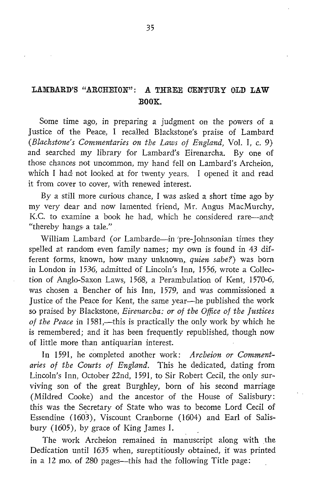## LAMBARD'S "ARCHEION": A THREE CENTURY OLD LAW BOOK.

Some time ago, in preparing a judgment on the powers of a Justice of the Peace, I recalled Blackstone's praise of Lambard (Blackstone's Commentaries on the Laws of England, Vol. 1, c. 9) and searched my library for Lambard's Eirenarcha. By one of those chances not uncommon, my hand fell on Lambard's Archeion, which <sup>I</sup> had not looked at for twenty years. <sup>I</sup> opened it and read it from cover to cover, with renewed interest.

By a still more curious chance, <sup>I</sup> was asked a short time ago by my very dear and now lamented friend, Mr. Angus MacMurchy, K.C. to examine a book he had, which he considered rare-and; "thereby hangs a tale."

William Lambard (or Lambarde-in `pre-Johnsonian times they spelled at random even family names; my own is found in 43 different forms, known, how many unknown, quien sabe?) was born in London in 1536, admitted of Lincoln's Inn, 1556, wrote a Collection of Anglo-Saxon Laws, 1568, a Perambulation of Kent, 1570-6, was chosen a Bencher of his Inn, 1579, and was commissioned a justice of the Peace for Kent, the same year-he published the work so praised by Blackstone, Eirenarcha: or of the Office of the Justices of the Peace in 1581,—this is practically the only work by which he is remembered; and it has been frequently republished, though now of little more than antiquarian interest.

In 1591, he completed another work: Archeion or Commentaries of the Courts of England. This he dedicated, dating from Lincoln's Inn, October 22nd, 1591, to Sir Robert Cecil, the only sur viving son of the great Burghley, born of his second marriage (Mildred Cooke) and the ancestor of the House of Salisbury: this was the Secretary of State who was to become Lord Cecil of Essendine (1603), Viscount Cranborne (1604) and Earl of Salisbury  $(1605)$ , by grace of King James I.

The work Archeion remained in manuscript along with the Dedication until 1635 when, sureptitiously obtained, it was printed in a 12 mo. of 280 pages—this had the following Title page: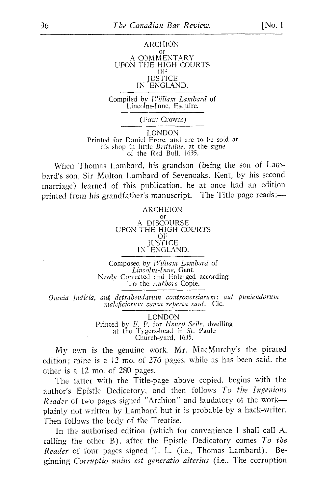## ARCHION or A COMMENTARY UPON THE HIGH COURTS OF JUSTICE IN ENGLAND.

Compiled by William Lambard of Lincolns-Inne, Esquire.

(Four Crowns)

LONDON Printed for Daniel Frere, and are to be sold at his shop in little *Brittaine*, at the signe of the Red Bull, 1635 .

When Thomas Lambard, his grandson (being the son of Lambard's son, Sir Multon Lambard of Sevenoaks, Kent, by his second marriage) learned of this publication, he at once had an edition printed from his grandfather's manuscript. The Title page reads:-

## ARCHEION

or A DISCOURSE UPON THE HIGH COURTS OF JUSTICE IN ENGLAND.

Composed by William Lambard of Lincolns-Inne, Gent. Newly Corrected and Enlarged according To the *Authors* Copie.

Omnia judicia, aut, detrahendarum controversiarum: aut puniendorum maleficiorum causa reperta sunt. Cic.

> LONDON Printed by E. P. for Henry Seile, dwelling at the Tygers-head in St. Paule Church-yard, 1635.

My own is the genuine work, Mr. MacMurchy's the pirated edition; mine is a 12 mo. of 276 pages, while as has been said, the other is a <sup>12</sup> mo. of 280 pages.

The latter with the Title-page above copied, begins with the author's Epistle Dedicatory, and then follows  $To$  the Ingenious Reader of two pages signed "Archion" and laudatory of the workplainly not written by Lambard but it is probable by a hack-writer. Then follows the body of the Treatise.

In the authorised edition (which for convenience <sup>I</sup> shall call A, calling the other B), after the Epistle Dedicatory comes  $To$  the Reader of four pages signed T. L. (i.e., Thomas Lambard). Beginning Corruptio unius est generatio alterius (i.e., The corruption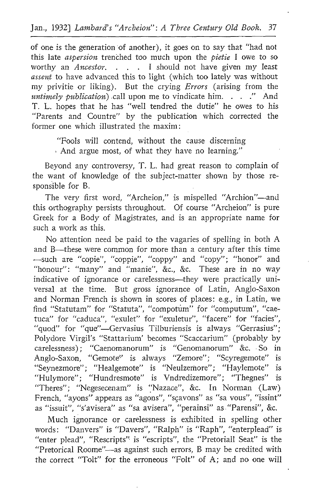of one is the generation of another), it goes on to say that "had not this late *aspersion* trenched too much upon the *pietie* I owe to so worthy an  $\overline{A}$  *ncestor.* . . . I should not have given my least assent to have advanced this to light (which too lately was without my privitie or liking). But the crying *Errors* (arising from the untimely publication) call upon me to vindicate him.  $\ldots$  . . . And T. L. hopes that he has "well tendred the dutie" he owes to his "Parents and Countre" by the publication which corrected the former one which illustrated the maxim

"Fools will contend, without the cause discerning And argue most, of what they have no learning."

Beyond any controversy, T. L. had great reason to complain of the want of knowledge of the subject-matter shown by those responsible for B.

The very first word, "Archeion," is mispelled "Archion"-and this orthography persists throughout. Of course "Archeion" is pure Greek for a Body of Magistrates, and is an appropriate name for such a work as this

No attention need be paid to the vagaries of spelling in both A and B—these were common for more than a century after this time --such are "copie", "coppie", "coppy" and "copy"; "honor" and "honour": "many" and "manie", &c., &c. These are in no way indicative of ignorance or carelessness—they were practically universal at the time. But gross ignorance of Latin, Anglo-Saxon and Norman French is shown in scores of places: e.g., in Latin, we find "Statutam" for "Statuta", "compotum" for "computum", "caetuca" for "caduca", "exulet" for "exuletur", "facere" for "facies", "quod" for "que"—Gervasius Tilburiensis is always "Gerrasius"; Polydore Virgil's "Stattarium' becomes "Scaccarium" (probably by "Theres"; "Negesecenam" is "Nazace", &c. In Norman (Law) French, "ayons" appears as "ayons", "sçavons" as "sa vous", "issint" as "issuit", "s'avisera" as "sa avisera", "perainsi" as "Parensi", &c. carelessness) ; "Caenomanorum" is "Genomanorum" &c. . So in Anglo-Saxon, "Gemote" is always "Zemore"; "Scyregemote" is "Seynezmore"; "Healgemote" is "Neulzemore"; "Haylemote" is "Hulymore"; "Hundresmote" is Vndredizemore"; "Thegnes" is

Much ignorance or carelessness is exhibited in spelling other words: "Danvers" is "Davers", "Ralph" is "Raph", "enterplead" is "enter plead", "Rescripts" is "escripts", the "Pretoriall Seat" is the "Pretorical Roome"-as against such errors, B may be credited with the correct "Tolt" for the erroneous "Folt" of A; and no one will